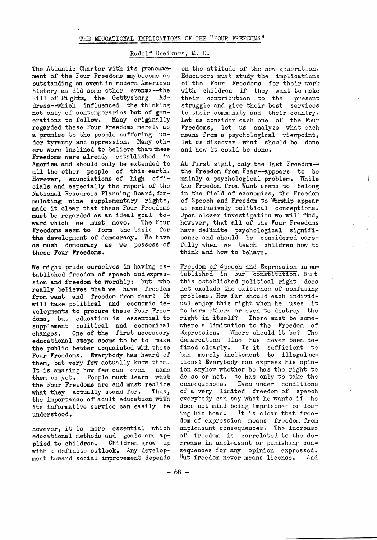## THE EDUCATIONAL IMPLICATIONS OF THE "FOUR FREEDOMS"

## Rudolf Dreikurs, M. D.

The Atlantic Charter with its pronouncement of the Four Freedoms may become as outstanding an event in modern American history as did some other events--the Bill of Rights, the Gettysburg Address--which influenced the thinking not only of contemporaries but of generations to follow. Many originally regarded these Four Freedoms merely as a promise to the people suffering under tyranny and oppression. Many others were inclined to believe that these Freedoms were already established in America and should only be extended to all the other people of this earth. However, enunciations of high officials and especially the report of the National Resources Planning Board, formulating nine supplementary rights, made it olear that these Four Freedoms must be regarded as an ideal goal to-<br>ward which we must move. The Four ward which we must move. Freedoms seem to form the basis for the development of democracy, We have as muoh demooracy as we possess of these Four Freedoms.

We might pride ourselves in having established freedom of speech and expression and freedom to worship; but who really believes that we have freedom from want and freedom from fear? It will take political and economic developments to procure these Four Freedoms, but eduoation is essential to supplement political and eoonomical changes. One of the first necessary educational steps seems to be to make the public better acquainted with these Four Freedoms. Everybody has heard of them, but very few actually know them. It is amazing how few can even name them as yet. People must learn what the Four Freedoms are and must realize what they actually stand for. Thus, the importance of adult education with its informativo service can easily be understood.

However, it is more essential whioh educational methods and goals are applied to children. Children grow up with a definite outlook. Any development toward social improvement depends

on the attitude of the new generation. Educators must study the implications of the Four Freedoms for their work with children if they want to make their contribution to the present struggle and give their best services to their community and their country. Let us consider each one of the Four Freedoms, let us analyze what each means from a psychological viewpoint, let us discover what should be done and how it could be done.

At first sight, only the last Freedom the Freedom from Fear--appears to be mainly a psychological problem.. While the Freedom from Want seems to belong in the field of economics, the Freedom of Speech and Freedom to Worship appear as exclusively political conceptions. Upon closer investigation we will find, however, that all of the Four Freedoms have definite psychological significance and should be considered carefully when we teach children how to think and how to behave.

Freedom of Speech and Expression is established in' our constitution. But this established political right does not exolude the existence of confusing problems. How far should each individual enjoy this right when he uses it to harm others or even to destroy the right in itself? There must be somewhere a limitation to the Freedom of Expression. Where should it be? The demarcation line has never been defined clearly. Is it sufficient to ban merely incitement to illegal actions? Everybody can express his opinion anyhow whether he has the right to do so or not. He has only to take tho consequences. Even under conditions of a very limited freedom of speech everybody can say what he wants if he does not mind being imprisoned or losing his head. It is clear that freedom of expression means freedom from unpleasant consequences. The increase of freodom is correlated to the decrease in unploasant or punishing consequences for any opinion exprossed. But freedom never means license. And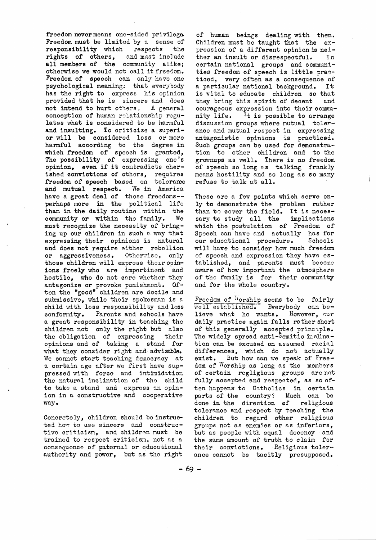freedom never means one-sided privilege. Freedom must be limited by a sense of responsibility which respects the rights of others, and must include all members of the community alike; otherwise we would not call it freedom. Freedom of speech can only have one psychological meaning: that everybody has the right to express his opinion provided that he is sincere and does not intend to hurt others. A general conception of human rolationship regulates what is considered to be harmful and insulting. To criticize a superior will be considered less or more harmful according to the degree in which freedom of speech is granted, The possibility of expressing one's opinion, even if it contradicts cherished convictions of others, requires freedom of speech based on tolerance and mutual respect. We in America have a great deal of these freedoms-perhaps more in the political life than in the daily routine within the community or within the family. We must recognize the necessity of bringing up our children in such a way that expressing their opinions is natural and does not require either rebellion or aggressiveness. Otherwise, only those children will express their opinions freely who are impertinent and hostile, who do not care whether they antagonize or provoke punishment.  $0f$ ten the "good" children are docile and submissive, while their spokesman is a child with less responsibility and less conformity. Parents and schools have a great responsibility in teaching the children not only the right but also the obligation of expressing their opinions and of taking a stand for what they consider right and advisable. We cannot start teaching democracy at a certain age after we first have suppressed with force and intimidation the natural inclination of the child to take a stand and express an opinion in a constructive and cooperative way.

Concretely, children should be instructed how to use sincere and constructive criticism, and children must be trained to respect criticism, not as a consequence of paternal or educational authority and power, but as the right

of human beings dealing with them. Children must be taught that the  $ex$ pression of a different opinion is neither an insult or disrespectful. In certain national groups and communities freedom of speech is little practiced, very often as a consequence of a particular national background. Ιŧ is vital to educate children so that they bring this spirit of decent and courageous expression into their community life. <sup>1</sup>t is possible to arrange discussion groups where mutual tolerance and mutual respect in expressing antagonistic opinions is practiced. Such groups can be used for demonstration to other children and to the grownups as well. There is no freedom of speech so long as talking frankly means hostility and so long as so many refuse to talk at all.

These are a few points which serve only to demonstrate the problem rather than to cover the field. It is necessary to study all the implications which the postulation of Freedom of Speech can have and actually has for our educational procedure. Schools will have to consider how much freedom of speech and expression they have established, and parents must become aware of how important the atmosphere of the family is for their community and for the whole country.

Freedom of Worship seems to be fairly well established. Everybody can be $\sim$ lieve what he wants. However, our daily practice again falls rather short of this generally accepted principle. The widely spread anti-Semitic inclination can be excused on assumed racial differences, which do not actually But how can we speak of Freeexist. dom of Worship as long as the members of certain regligious groups are not fully accepted and respected, as so often happens to Catholics in certain parts of the country? Much can be done in the direction of religious tolerance and respect by teaching the children to regard other religious groups not as enemies or as inferiors, but as people with equal decency and the same amount of truth to claim for their convictions. Religious tolerance cannot be tacitly presupposed.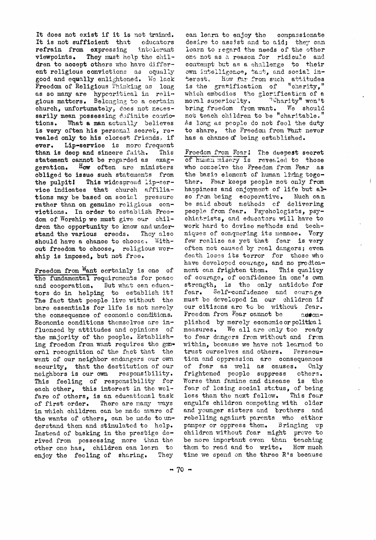It does not exist if it is not trained. It is not sufficient that educators refrain from expressing intolerant They must help the chilviewpoints. dren to accept others who have different religious convictions as equally good and equally enlightened. We lack Freedom of Religious Thinking as long as so many are hypecritical in religious matters. Belonging to a certain church, unfortunately, does not necessarily mean possessing definite convic-What a man actually believes tions. is very often his personal secret, revealed only to his closest friends, if Lip-service is more frequent ever. than is deep and sincere faith. This statement cannot be regarded as exag-How often are ministers geration. obliged to issue such statements from the pulpit! This widespread lip-service indicates that church affiliations may be based on social pressure rather than on genuine religious convictions. In order to establish Freedom of Worship we must give our children the opportunity to know and understand the various creeds. They also should have a chance to choose, Without freedom to choose, religious worship is imposed, but not free.

Freedom from Want certainly is one of the fundamental requirements for peace But what can educaand cooperation. tors do in helping to establish it? The fact that people live without the bare essentials for life is not merely the consequence of economic conditions. Economic conditions themselves are influenced by attitudes and opinions of the majority of the people. Establishing freedom from want requires the goneral recognition of the fact that the want of our neighbor endangers our own security, that the destitution of our neighbors is our own responsibility. This feeling of responsibility for each other, this interest in the welfare of others, is an educational task of first order. There are many ways in which children can be made aware of the wants of others, can be made to understand them and stimulated to help. Instead of basking in the prestige derived from possessing more than the other one has, children can learn to enjoy the feeling of sharing. They

compassionate can learn to enjoy the desire to assist and to aid; they can learn to regard the needs of the other one not as a reason for ridicule and contempt but as a challenge to their own intelligence, tast, and social in-How far from such attitudes terest. "charity," is the gratification of which embodies the glorification of a "Charity" won't moral superiority. bring freedom from want. We should not teach children to be "charitable." As long as people do not feel the duty to share, the Freedom from Want never has a chance of being established.

Freedom from Fear! The deepest secret of human misery is revealed to those who conceive the Freedom from Fear as the basic element of human living together. Fear keeps people not only from happiness and enjoyment of life but also from being cooperative. Much can be said about methods of delivering people from fear. Psychologists, psychiatrists, and educators will have to work hard to devise methods and techniques of conquering its menace. Very few realize as yet that fear is very often not caused by real dangers; even death loses its terror for those who have developed courage, and no predicament can frighten them. This quality of courage, of confidence in one's own strength, is the only antidote for Self-confidence and courage fear. must be developed in our children if our citizons are to be without fear. Freedom from Fear cannot be assomplished by merely economic or political We all are only too ready measures. to fear dangers from without and from within, because we have not learned to trust ourselves and others. Persecution and oppression are consequences of fear as well as causes. Only frightened people suppress others. Worse than famine and disease is the fear of losing social status, of being less than the next fellow. This fear engulfs children competing with older and younger sisters and brothers and rebelling against parents who either pamper or oppress them. Bringing up children without fear might prove to be more important even than teaching them to read and to write. How much time we spend on the three R's because